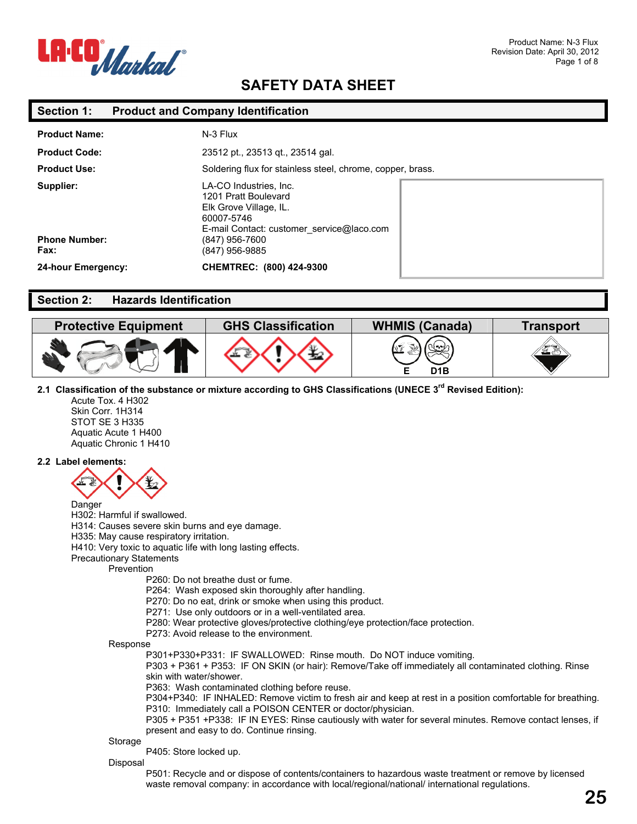

### **Section 1: Product and Company Identification**

| <b>Product Name:</b>                      | N-3 Flux                                                                                                                                                                |  |
|-------------------------------------------|-------------------------------------------------------------------------------------------------------------------------------------------------------------------------|--|
| <b>Product Code:</b>                      | 23512 pt., 23513 gt., 23514 gal.                                                                                                                                        |  |
| <b>Product Use:</b>                       | Soldering flux for stainless steel, chrome, copper, brass.                                                                                                              |  |
| Supplier:<br><b>Phone Number:</b><br>Fax: | LA-CO Industries, Inc.<br>1201 Pratt Boulevard<br>Elk Grove Village, IL.<br>60007-5746<br>E-mail Contact: customer service@laco.com<br>(847) 956-7600<br>(847) 956-9885 |  |
| 24-hour Emergency:                        | CHEMTREC: (800) 424-9300                                                                                                                                                |  |

### **Section 2: Hazards Identification**

| <b>Protective Equipment</b> | <b>GHS Classification</b> | <b>WHMIS (Canada)</b> | ⊺ransport |
|-----------------------------|---------------------------|-----------------------|-----------|
|                             |                           | D <sub>1</sub> B      | 53        |

### **2.1 Classification of the substance or mixture according to GHS Classifications (UNECE 3rd Revised Edition):**

Acute Tox. 4 H302 Skin Corr. 1H314 STOT SE 3 H335 Aquatic Acute 1 H400 Aquatic Chronic 1 H410

#### **2.2 Label elements:**



H302: Harmful if swallowed.

H314: Causes severe skin burns and eye damage.

H335: May cause respiratory irritation.

H410: Very toxic to aquatic life with long lasting effects.

Precautionary Statements

Prevention

P260: Do not breathe dust or fume.

- P264: Wash exposed skin thoroughly after handling.
- P270: Do no eat, drink or smoke when using this product.
- P271: Use only outdoors or in a well-ventilated area.
- P280: Wear protective gloves/protective clothing/eye protection/face protection.
- P273: Avoid release to the environment.

Response

P301+P330+P331: IF SWALLOWED: Rinse mouth. Do NOT induce vomiting.

P303 + P361 + P353: IF ON SKIN (or hair): Remove/Take off immediately all contaminated clothing. Rinse skin with water/shower.

P363: Wash contaminated clothing before reuse.

P304+P340: IF INHALED: Remove victim to fresh air and keep at rest in a position comfortable for breathing. P310: Immediately call a POISON CENTER or doctor/physician.

P305 + P351 +P338: IF IN EYES: Rinse cautiously with water for several minutes. Remove contact lenses, if present and easy to do. Continue rinsing.

#### Storage

P405: Store locked up.

#### Disposal

P501: Recycle and or dispose of contents/containers to hazardous waste treatment or remove by licensed waste removal company: in accordance with local/regional/national/ international regulations.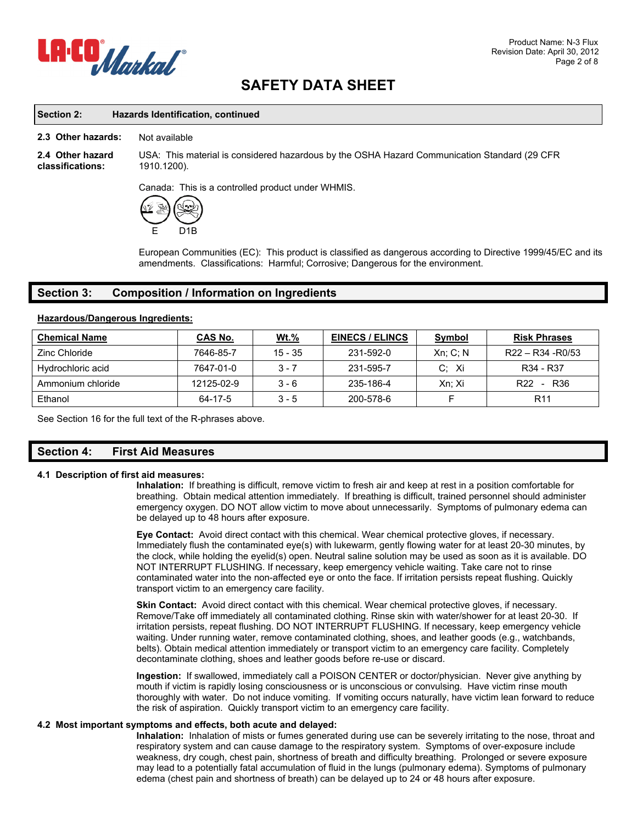

### **Section 2: Hazards Identification, continued**

#### **2.3 Other hazards:** Not available

**2.4 Other hazard classifications:** 

USA: This material is considered hazardous by the OSHA Hazard Communication Standard (29 CFR 1910.1200).

Canada: This is a controlled product under WHMIS.



European Communities (EC): This product is classified as dangerous according to Directive 1999/45/EC and its amendments. Classifications: Harmful; Corrosive; Dangerous for the environment.

### **Section 3: Composition / Information on Ingredients**

#### **Hazardous/Dangerous Ingredients:**

| <b>Chemical Name</b> | CAS No.    | <u>Wt.%</u> | <b>EINECS / ELINCS</b> | <b>Symbol</b> | <b>Risk Phrases</b>                |
|----------------------|------------|-------------|------------------------|---------------|------------------------------------|
| Zinc Chloride        | 7646-85-7  | $15 - 35$   | 231-592-0              | $Xn$ ; C; N   | $R22 - R34 - R0/53$                |
| Hydrochloric acid    | 7647-01-0  | $3 - 7$     | 231-595-7              | Xi<br>C:      | R34 - R37                          |
| Ammonium chloride    | 12125-02-9 | $3 - 6$     | 235-186-4              | Xn: Xi        | R <sub>22</sub><br>R <sub>36</sub> |
| Ethanol              | 64-17-5    | $3 - 5$     | 200-578-6              |               | R <sub>11</sub>                    |

See Section 16 for the full text of the R-phrases above.

### **Section 4: First Aid Measures**

### **4.1 Description of first aid measures:**

**Inhalation:** If breathing is difficult, remove victim to fresh air and keep at rest in a position comfortable for breathing. Obtain medical attention immediately. If breathing is difficult, trained personnel should administer emergency oxygen. DO NOT allow victim to move about unnecessarily. Symptoms of pulmonary edema can be delayed up to 48 hours after exposure.

**Eye Contact:** Avoid direct contact with this chemical. Wear chemical protective gloves, if necessary. Immediately flush the contaminated eye(s) with lukewarm, gently flowing water for at least 20-30 minutes, by the clock, while holding the eyelid(s) open. Neutral saline solution may be used as soon as it is available. DO NOT INTERRUPT FLUSHING. If necessary, keep emergency vehicle waiting. Take care not to rinse contaminated water into the non-affected eye or onto the face. If irritation persists repeat flushing. Quickly transport victim to an emergency care facility.

Skin Contact: Avoid direct contact with this chemical. Wear chemical protective gloves, if necessary. Remove/Take off immediately all contaminated clothing. Rinse skin with water/shower for at least 20-30. If irritation persists, repeat flushing. DO NOT INTERRUPT FLUSHING. If necessary, keep emergency vehicle waiting. Under running water, remove contaminated clothing, shoes, and leather goods (e.g., watchbands, belts). Obtain medical attention immediately or transport victim to an emergency care facility. Completely decontaminate clothing, shoes and leather goods before re-use or discard.

**Ingestion:** If swallowed, immediately call a POISON CENTER or doctor/physician. Never give anything by mouth if victim is rapidly losing consciousness or is unconscious or convulsing. Have victim rinse mouth thoroughly with water. Do not induce vomiting. If vomiting occurs naturally, have victim lean forward to reduce the risk of aspiration. Quickly transport victim to an emergency care facility.

#### **4.2 Most important symptoms and effects, both acute and delayed:**

**Inhalation:** Inhalation of mists or fumes generated during use can be severely irritating to the nose, throat and respiratory system and can cause damage to the respiratory system. Symptoms of over-exposure include weakness, dry cough, chest pain, shortness of breath and difficulty breathing. Prolonged or severe exposure may lead to a potentially fatal accumulation of fluid in the lungs (pulmonary edema). Symptoms of pulmonary edema (chest pain and shortness of breath) can be delayed up to 24 or 48 hours after exposure.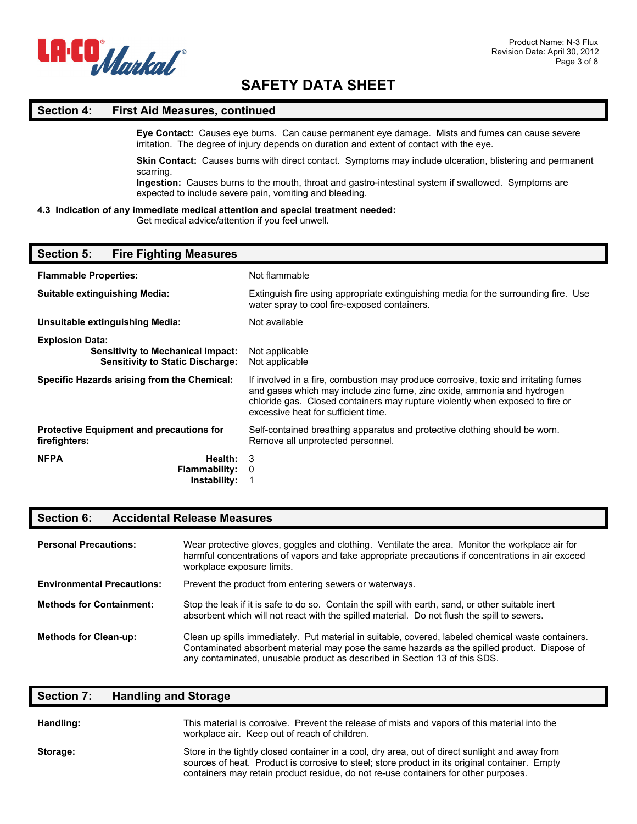

### **Section 4: First Aid Measures, continued**

**Eye Contact:** Causes eye burns. Can cause permanent eye damage. Mists and fumes can cause severe irritation. The degree of injury depends on duration and extent of contact with the eye.

**Skin Contact:** Causes burns with direct contact. Symptoms may include ulceration, blistering and permanent scarring.

**Ingestion:** Causes burns to the mouth, throat and gastro-intestinal system if swallowed. Symptoms are expected to include severe pain, vomiting and bleeding.

### **4.3 Indication of any immediate medical attention and special treatment needed:**

Get medical advice/attention if you feel unwell.

### **Section 5: Fire Fighting Measures**

| <b>Flammable Properties:</b>                                                                                  | Not flammable                                                                                                                                                                                                                                                                          |
|---------------------------------------------------------------------------------------------------------------|----------------------------------------------------------------------------------------------------------------------------------------------------------------------------------------------------------------------------------------------------------------------------------------|
| <b>Suitable extinguishing Media:</b>                                                                          | Extinguish fire using appropriate extinguishing media for the surrounding fire. Use<br>water spray to cool fire-exposed containers.                                                                                                                                                    |
| Unsuitable extinguishing Media:                                                                               | Not available                                                                                                                                                                                                                                                                          |
| <b>Explosion Data:</b><br><b>Sensitivity to Mechanical Impact:</b><br><b>Sensitivity to Static Discharge:</b> | Not applicable<br>Not applicable                                                                                                                                                                                                                                                       |
| Specific Hazards arising from the Chemical:                                                                   | If involved in a fire, combustion may produce corrosive, toxic and irritating fumes<br>and gases which may include zinc fume, zinc oxide, ammonia and hydrogen<br>chloride gas. Closed containers may rupture violently when exposed to fire or<br>excessive heat for sufficient time. |
| <b>Protective Equipment and precautions for</b><br>firefighters:                                              | Self-contained breathing apparatus and protective clothing should be worn.<br>Remove all unprotected personnel.                                                                                                                                                                        |
| <b>NFPA</b><br>Health:<br><b>Flammability:</b><br>Instability:                                                | 3<br>0                                                                                                                                                                                                                                                                                 |

### **Section 6: Accidental Release Measures**

| <b>Personal Precautions:</b>      | Wear protective gloves, goggles and clothing. Ventilate the area. Monitor the workplace air for<br>harmful concentrations of vapors and take appropriate precautions if concentrations in air exceed<br>workplace exposure limits.                                               |  |
|-----------------------------------|----------------------------------------------------------------------------------------------------------------------------------------------------------------------------------------------------------------------------------------------------------------------------------|--|
| <b>Environmental Precautions:</b> | Prevent the product from entering sewers or waterways.                                                                                                                                                                                                                           |  |
| <b>Methods for Containment:</b>   | Stop the leak if it is safe to do so. Contain the spill with earth, sand, or other suitable inert<br>absorbent which will not react with the spilled material. Do not flush the spill to sewers.                                                                                 |  |
| <b>Methods for Clean-up:</b>      | Clean up spills immediately. Put material in suitable, covered, labeled chemical waste containers.<br>Contaminated absorbent material may pose the same hazards as the spilled product. Dispose of<br>any contaminated, unusable product as described in Section 13 of this SDS. |  |

### **Section 7: Handling and Storage**

| Handling: | This material is corrosive. Prevent the release of mists and vapors of this material into the<br>workplace air. Keep out of reach of children.                                                                                                                                           |
|-----------|------------------------------------------------------------------------------------------------------------------------------------------------------------------------------------------------------------------------------------------------------------------------------------------|
| Storage:  | Store in the tightly closed container in a cool, dry area, out of direct sunlight and away from<br>sources of heat. Product is corrosive to steel; store product in its original container. Empty<br>containers may retain product residue, do not re-use containers for other purposes. |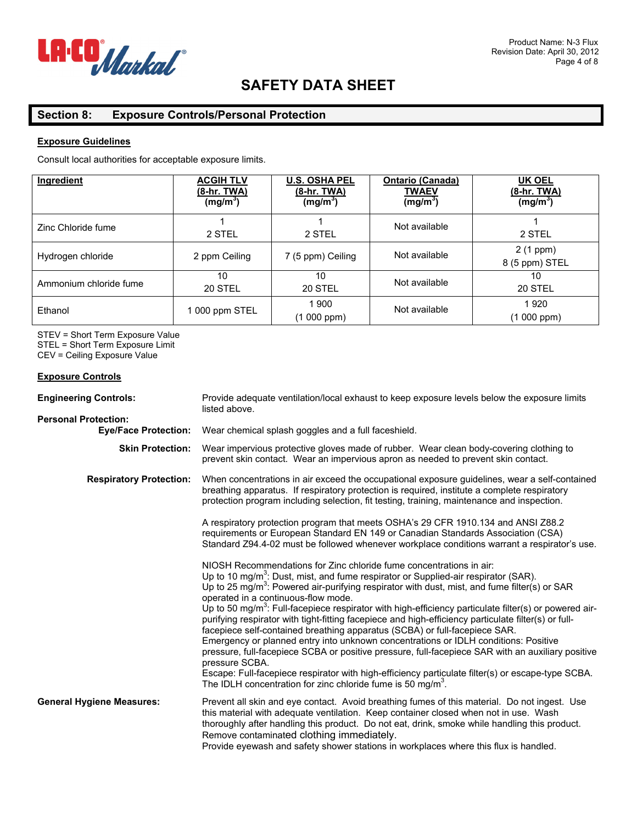

### **Section 8: Exposure Controls/Personal Protection**

### **Exposure Guidelines**

Consult local authorities for acceptable exposure limits.

| Ingredient             | <b>ACGIH TLV</b><br><u>(8-hr. TWA)</u><br>(mg/m <sup>3</sup> ) | <b>U.S. OSHA PEL</b><br>(8-hr. TWA)<br>(mg/m <sup>3</sup> ) | <b>Ontario (Canada)</b><br><b>TWAEV</b><br>(mg/m <sup>3</sup> ) | <b>UK OEL</b><br><u>(8-hr. TWA)</u><br>(mg/m <sup>3</sup> ) |
|------------------------|----------------------------------------------------------------|-------------------------------------------------------------|-----------------------------------------------------------------|-------------------------------------------------------------|
| Zinc Chloride fume     | 2 STEL                                                         | 2 STEL                                                      | Not available                                                   | 2 STEL                                                      |
| Hydrogen chloride      | 2 ppm Ceiling                                                  | 7 (5 ppm) Ceiling                                           | Not available                                                   | 2 (1 ppm)<br>8 (5 ppm) STEL                                 |
| Ammonium chloride fume | 10<br>20 STEL                                                  | 10<br>20 STEL                                               | Not available                                                   | 10<br>20 STEL                                               |
| Ethanol                | 1 000 ppm STEL                                                 | 1 900<br>(1000 ppm)                                         | Not available                                                   | 1920<br>(1000 ppm)                                          |

STEV = Short Term Exposure Value STEL = Short Term Exposure Limit CEV = Ceiling Exposure Value

### **Exposure Controls**

| <b>Engineering Controls:</b>                               | Provide adequate ventilation/local exhaust to keep exposure levels below the exposure limits<br>listed above.                                                                                                                                                                                                                                                                                                                                                                                                                                                                                                                                                                                                                                                                                                                                                                                                                                                                                                                     |  |  |
|------------------------------------------------------------|-----------------------------------------------------------------------------------------------------------------------------------------------------------------------------------------------------------------------------------------------------------------------------------------------------------------------------------------------------------------------------------------------------------------------------------------------------------------------------------------------------------------------------------------------------------------------------------------------------------------------------------------------------------------------------------------------------------------------------------------------------------------------------------------------------------------------------------------------------------------------------------------------------------------------------------------------------------------------------------------------------------------------------------|--|--|
| <b>Personal Protection:</b><br><b>Eye/Face Protection:</b> | Wear chemical splash goggles and a full faceshield.                                                                                                                                                                                                                                                                                                                                                                                                                                                                                                                                                                                                                                                                                                                                                                                                                                                                                                                                                                               |  |  |
| <b>Skin Protection:</b>                                    | Wear impervious protective gloves made of rubber. Wear clean body-covering clothing to<br>prevent skin contact. Wear an impervious apron as needed to prevent skin contact.                                                                                                                                                                                                                                                                                                                                                                                                                                                                                                                                                                                                                                                                                                                                                                                                                                                       |  |  |
| <b>Respiratory Protection:</b>                             | When concentrations in air exceed the occupational exposure guidelines, wear a self-contained<br>breathing apparatus. If respiratory protection is required, institute a complete respiratory<br>protection program including selection, fit testing, training, maintenance and inspection.                                                                                                                                                                                                                                                                                                                                                                                                                                                                                                                                                                                                                                                                                                                                       |  |  |
|                                                            | A respiratory protection program that meets OSHA's 29 CFR 1910.134 and ANSI Z88.2<br>requirements or European Standard EN 149 or Canadian Standards Association (CSA)<br>Standard Z94.4-02 must be followed whenever workplace conditions warrant a respirator's use.                                                                                                                                                                                                                                                                                                                                                                                                                                                                                                                                                                                                                                                                                                                                                             |  |  |
|                                                            | NIOSH Recommendations for Zinc chloride fume concentrations in air:<br>Up to 10 mg/m <sup>3</sup> : Dust, mist, and fume respirator or Supplied-air respirator (SAR).<br>Up to 25 mg/m <sup>3</sup> : Powered air-purifying respirator with dust, mist, and fume filter(s) or SAR<br>operated in a continuous-flow mode.<br>Up to 50 mg/m <sup>3</sup> : Full-facepiece respirator with high-efficiency particulate filter(s) or powered air-<br>purifying respirator with tight-fitting facepiece and high-efficiency particulate filter(s) or full-<br>facepiece self-contained breathing apparatus (SCBA) or full-facepiece SAR.<br>Emergency or planned entry into unknown concentrations or IDLH conditions: Positive<br>pressure, full-facepiece SCBA or positive pressure, full-facepiece SAR with an auxiliary positive<br>pressure SCBA.<br>Escape: Full-facepiece respirator with high-efficiency particulate filter(s) or escape-type SCBA.<br>The IDLH concentration for zinc chloride fume is 50 mg/m <sup>3</sup> . |  |  |
| <b>General Hygiene Measures:</b>                           | Prevent all skin and eye contact. Avoid breathing fumes of this material. Do not ingest. Use<br>this material with adequate ventilation. Keep container closed when not in use. Wash<br>thoroughly after handling this product. Do not eat, drink, smoke while handling this product.<br>Remove contaminated clothing immediately.<br>Provide eyewash and safety shower stations in workplaces where this flux is handled.                                                                                                                                                                                                                                                                                                                                                                                                                                                                                                                                                                                                        |  |  |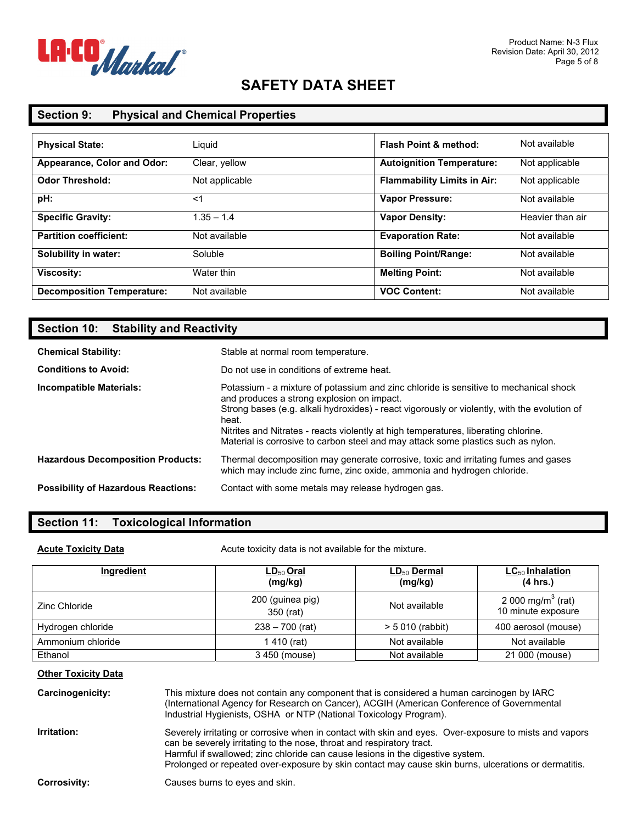

### **Section 9: Physical and Chemical Properties**

| <b>Physical State:</b>            | Liguid         | <b>Flash Point &amp; method:</b>   | Not available    |
|-----------------------------------|----------------|------------------------------------|------------------|
| Appearance, Color and Odor:       | Clear, yellow  | <b>Autoignition Temperature:</b>   | Not applicable   |
| <b>Odor Threshold:</b>            | Not applicable | <b>Flammability Limits in Air:</b> | Not applicable   |
| pH:                               | <1             | <b>Vapor Pressure:</b>             | Not available    |
| <b>Specific Gravity:</b>          | $1.35 - 1.4$   | <b>Vapor Density:</b>              | Heavier than air |
| <b>Partition coefficient:</b>     | Not available  | <b>Evaporation Rate:</b>           | Not available    |
| Solubility in water:              | Soluble        | <b>Boiling Point/Range:</b>        | Not available    |
| <b>Viscosity:</b>                 | Water thin     | <b>Melting Point:</b>              | Not available    |
| <b>Decomposition Temperature:</b> | Not available  | <b>VOC Content:</b>                | Not available    |

### **Section 10: Stability and Reactivity**

| <b>Chemical Stability:</b>                 | Stable at normal room temperature.                                                                                                                                                                                                                                                                                                                                                                                       |
|--------------------------------------------|--------------------------------------------------------------------------------------------------------------------------------------------------------------------------------------------------------------------------------------------------------------------------------------------------------------------------------------------------------------------------------------------------------------------------|
| <b>Conditions to Avoid:</b>                | Do not use in conditions of extreme heat.                                                                                                                                                                                                                                                                                                                                                                                |
| Incompatible Materials:                    | Potassium - a mixture of potassium and zinc chloride is sensitive to mechanical shock<br>and produces a strong explosion on impact.<br>Strong bases (e.g. alkali hydroxides) - react vigorously or violently, with the evolution of<br>heat.<br>Nitrites and Nitrates - reacts violently at high temperatures, liberating chlorine.<br>Material is corrosive to carbon steel and may attack some plastics such as nylon. |
| <b>Hazardous Decomposition Products:</b>   | Thermal decomposition may generate corrosive, toxic and irritating fumes and gases<br>which may include zinc fume, zinc oxide, ammonia and hydrogen chloride.                                                                                                                                                                                                                                                            |
| <b>Possibility of Hazardous Reactions:</b> | Contact with some metals may release hydrogen gas.                                                                                                                                                                                                                                                                                                                                                                       |

### **Section 11: Toxicological Information**

**Acute Toxicity Data Acute toxicity data is not available for the mixture.** 

| <b>Ingredient</b> | $LD_{50}$ Oral<br>(mg/kg)     | $LD_{50}$ Dermal<br>(mg/kg) | $LC_{50}$ Inhalation<br>(4 hrs.)                    |
|-------------------|-------------------------------|-----------------------------|-----------------------------------------------------|
| Zinc Chloride     | 200 (guinea pig)<br>350 (rat) | Not available               | 2 000 mg/m <sup>3</sup> (rat)<br>10 minute exposure |
| Hydrogen chloride | $238 - 700$ (rat)             | $> 5010$ (rabbit)           | 400 aerosol (mouse)                                 |
| Ammonium chloride | 1 410 (rat)                   | Not available               | Not available                                       |
| Ethanol           | 3 450 (mouse)                 | Not available               | 21 000 (mouse)                                      |

### **Other Toxicity Data**

| Carcinogenicity:    | This mixture does not contain any component that is considered a human carcinogen by IARC<br>(International Agency for Research on Cancer), ACGIH (American Conference of Governmental<br>Industrial Hygienists, OSHA or NTP (National Toxicology Program).                                                                                                               |
|---------------------|---------------------------------------------------------------------------------------------------------------------------------------------------------------------------------------------------------------------------------------------------------------------------------------------------------------------------------------------------------------------------|
| Irritation:         | Severely irritating or corrosive when in contact with skin and eyes. Over-exposure to mists and vapors<br>can be severely irritating to the nose, throat and respiratory tract.<br>Harmful if swallowed; zinc chloride can cause lesions in the digestive system.<br>Prolonged or repeated over-exposure by skin contact may cause skin burns, ulcerations or dermatitis. |
| <b>Corrosivity:</b> | Causes burns to eyes and skin.                                                                                                                                                                                                                                                                                                                                            |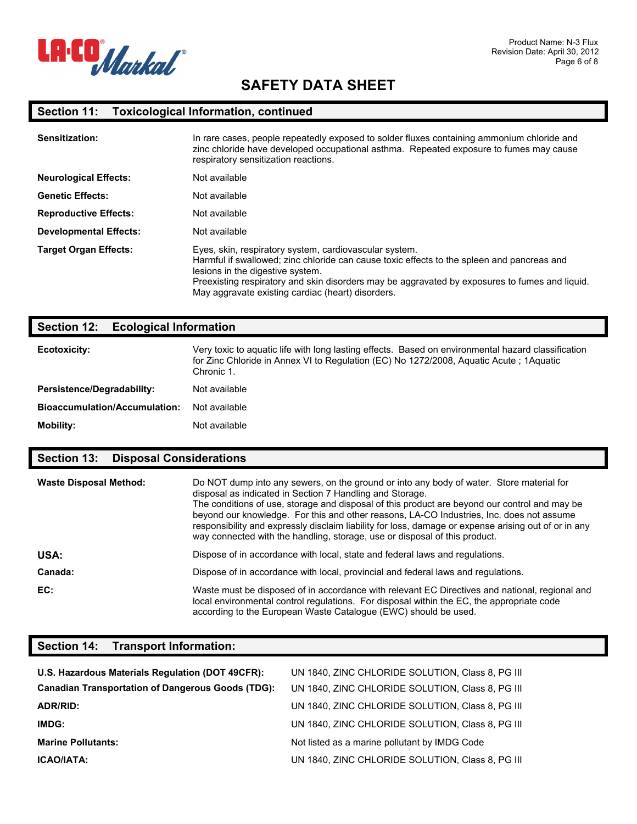

# **Section 11: Toxicological Information, continued**

| Sensitization:                | In rare cases, people repeatedly exposed to solder fluxes containing ammonium chloride and<br>zinc chloride have developed occupational asthma. Repeated exposure to fumes may cause<br>respiratory sensitization reactions.                                                                                                                    |
|-------------------------------|-------------------------------------------------------------------------------------------------------------------------------------------------------------------------------------------------------------------------------------------------------------------------------------------------------------------------------------------------|
| <b>Neurological Effects:</b>  | Not available                                                                                                                                                                                                                                                                                                                                   |
| <b>Genetic Effects:</b>       | Not available                                                                                                                                                                                                                                                                                                                                   |
| <b>Reproductive Effects:</b>  | Not available                                                                                                                                                                                                                                                                                                                                   |
| <b>Developmental Effects:</b> | Not available                                                                                                                                                                                                                                                                                                                                   |
| <b>Target Organ Effects:</b>  | Eyes, skin, respiratory system, cardiovascular system.<br>Harmful if swallowed; zinc chloride can cause toxic effects to the spleen and pancreas and<br>lesions in the digestive system.<br>Preexisting respiratory and skin disorders may be aggravated by exposures to fumes and liquid.<br>May aggravate existing cardiac (heart) disorders. |

### **Section 12: Ecological Information**

| Ecotoxicity:                         | Very toxic to aquatic life with long lasting effects. Based on environmental hazard classification<br>for Zinc Chloride in Annex VI to Regulation (EC) No 1272/2008, Aguatic Acute ; 1Aguatic<br>Chronic 1. |
|--------------------------------------|-------------------------------------------------------------------------------------------------------------------------------------------------------------------------------------------------------------|
| Persistence/Degradability:           | Not available                                                                                                                                                                                               |
| <b>Bioaccumulation/Accumulation:</b> | Not available                                                                                                                                                                                               |
| <b>Mobility:</b>                     | Not available                                                                                                                                                                                               |

### **Section 13: Disposal Considerations**

| <b>Waste Disposal Method:</b> | Do NOT dump into any sewers, on the ground or into any body of water. Store material for<br>disposal as indicated in Section 7 Handling and Storage.<br>The conditions of use, storage and disposal of this product are beyond our control and may be<br>beyond our knowledge. For this and other reasons, LA-CO Industries, Inc. does not assume<br>responsibility and expressly disclaim liability for loss, damage or expense arising out of or in any<br>way connected with the handling, storage, use or disposal of this product. |
|-------------------------------|-----------------------------------------------------------------------------------------------------------------------------------------------------------------------------------------------------------------------------------------------------------------------------------------------------------------------------------------------------------------------------------------------------------------------------------------------------------------------------------------------------------------------------------------|
| USA:                          | Dispose of in accordance with local, state and federal laws and regulations.                                                                                                                                                                                                                                                                                                                                                                                                                                                            |
| Canada:                       | Dispose of in accordance with local, provincial and federal laws and requiations.                                                                                                                                                                                                                                                                                                                                                                                                                                                       |
| EC:                           | Waste must be disposed of in accordance with relevant EC Directives and national, regional and<br>local environmental control regulations. For disposal within the EC, the appropriate code<br>according to the European Waste Catalogue (EWC) should be used.                                                                                                                                                                                                                                                                          |

### **Section 14: Transport Information:**

| U.S. Hazardous Materials Regulation (DOT 49CFR):         | UN 1840, ZINC CHLORIDE SOLUTION, Class 8, PG III |
|----------------------------------------------------------|--------------------------------------------------|
| <b>Canadian Transportation of Dangerous Goods (TDG):</b> | UN 1840, ZINC CHLORIDE SOLUTION, Class 8, PG III |
| ADR/RID:                                                 | UN 1840, ZINC CHLORIDE SOLUTION, Class 8, PG III |
| IMDG:                                                    | UN 1840, ZINC CHLORIDE SOLUTION, Class 8, PG III |
| <b>Marine Pollutants:</b>                                | Not listed as a marine pollutant by IMDG Code    |
| <b>ICAO/IATA:</b>                                        | UN 1840, ZINC CHLORIDE SOLUTION, Class 8, PG III |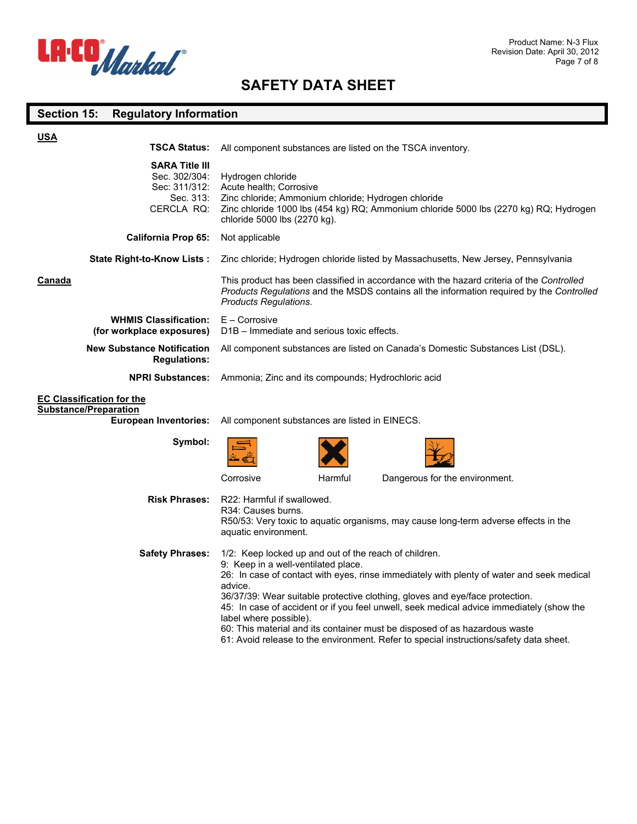

# **Section 15: Regulatory Information**

| <b>USA</b>                                                                                       |                                                                                                                                                                                                                                                                                                                                                                                                                                                                                                                                                                                    |
|--------------------------------------------------------------------------------------------------|------------------------------------------------------------------------------------------------------------------------------------------------------------------------------------------------------------------------------------------------------------------------------------------------------------------------------------------------------------------------------------------------------------------------------------------------------------------------------------------------------------------------------------------------------------------------------------|
| <b>TSCA Status:</b>                                                                              | All component substances are listed on the TSCA inventory.                                                                                                                                                                                                                                                                                                                                                                                                                                                                                                                         |
| <b>SARA Title III</b><br>Sec. 302/304:<br>Sec: 311/312:<br>Sec. 313:<br>CERCLA RQ:               | Hydrogen chloride<br>Acute health; Corrosive<br>Zinc chloride; Ammonium chloride; Hydrogen chloride<br>Zinc chloride 1000 lbs (454 kg) RQ; Ammonium chloride 5000 lbs (2270 kg) RQ; Hydrogen<br>chloride 5000 lbs (2270 kg).                                                                                                                                                                                                                                                                                                                                                       |
| <b>California Prop 65:</b>                                                                       | Not applicable                                                                                                                                                                                                                                                                                                                                                                                                                                                                                                                                                                     |
| <b>State Right-to-Know Lists:</b>                                                                | Zinc chloride; Hydrogen chloride listed by Massachusetts, New Jersey, Pennsylvania                                                                                                                                                                                                                                                                                                                                                                                                                                                                                                 |
| Canada                                                                                           | This product has been classified in accordance with the hazard criteria of the Controlled<br>Products Regulations and the MSDS contains all the information required by the Controlled<br>Products Regulations.                                                                                                                                                                                                                                                                                                                                                                    |
| <b>WHMIS Classification:</b><br>(for workplace exposures)                                        | $E -$ Corrosive<br>D <sub>1</sub> B – Immediate and serious toxic effects.                                                                                                                                                                                                                                                                                                                                                                                                                                                                                                         |
| <b>New Substance Notification</b><br><b>Regulations:</b>                                         | All component substances are listed on Canada's Domestic Substances List (DSL).                                                                                                                                                                                                                                                                                                                                                                                                                                                                                                    |
| <b>NPRI Substances:</b>                                                                          | Ammonia; Zinc and its compounds; Hydrochloric acid                                                                                                                                                                                                                                                                                                                                                                                                                                                                                                                                 |
| <b>EC Classification for the</b><br><b>Substance/Preparation</b><br><b>European Inventories:</b> | All component substances are listed in EINECS.                                                                                                                                                                                                                                                                                                                                                                                                                                                                                                                                     |
| Symbol:                                                                                          |                                                                                                                                                                                                                                                                                                                                                                                                                                                                                                                                                                                    |
|                                                                                                  | Corrosive<br>Harmful<br>Dangerous for the environment.                                                                                                                                                                                                                                                                                                                                                                                                                                                                                                                             |
| <b>Risk Phrases:</b>                                                                             | R22: Harmful if swallowed.<br>R34: Causes burns.<br>R50/53: Very toxic to aquatic organisms, may cause long-term adverse effects in the<br>aquatic environment.                                                                                                                                                                                                                                                                                                                                                                                                                    |
| <b>Safety Phrases:</b>                                                                           | 1/2: Keep locked up and out of the reach of children.<br>9: Keep in a well-ventilated place.<br>26: In case of contact with eyes, rinse immediately with plenty of water and seek medical<br>advice.<br>36/37/39: Wear suitable protective clothing, gloves and eye/face protection.<br>45: In case of accident or if you feel unwell, seek medical advice immediately (show the<br>label where possible).<br>60: This material and its container must be disposed of as hazardous waste<br>61: Avoid release to the environment. Refer to special instructions/safety data sheet. |